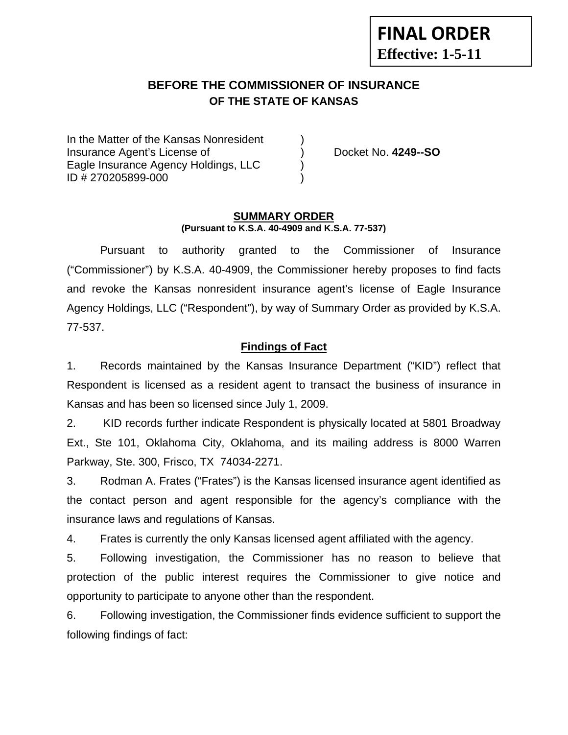# **FINAL ORDER Effective: 1-5-11**

# **BEFORE THE COMMISSIONER OF INSURANCE OF THE STATE OF KANSAS**

In the Matter of the Kansas Nonresident Insurance Agent's License of ) Docket No. **4249--SO** Eagle Insurance Agency Holdings, LLC () ID # 270205899-000 )

#### **SUMMARY ORDER (Pursuant to K.S.A. 40-4909 and K.S.A. 77-537)**

 Pursuant to authority granted to the Commissioner of Insurance ("Commissioner") by K.S.A. 40-4909, the Commissioner hereby proposes to find facts and revoke the Kansas nonresident insurance agent's license of Eagle Insurance Agency Holdings, LLC ("Respondent"), by way of Summary Order as provided by K.S.A. 77-537.

#### **Findings of Fact**

1. Records maintained by the Kansas Insurance Department ("KID") reflect that Respondent is licensed as a resident agent to transact the business of insurance in Kansas and has been so licensed since July 1, 2009.

2. KID records further indicate Respondent is physically located at 5801 Broadway Ext., Ste 101, Oklahoma City, Oklahoma, and its mailing address is 8000 Warren Parkway, Ste. 300, Frisco, TX 74034-2271.

3. Rodman A. Frates ("Frates") is the Kansas licensed insurance agent identified as the contact person and agent responsible for the agency's compliance with the insurance laws and regulations of Kansas.

4. Frates is currently the only Kansas licensed agent affiliated with the agency.

5. Following investigation, the Commissioner has no reason to believe that protection of the public interest requires the Commissioner to give notice and opportunity to participate to anyone other than the respondent.

6. Following investigation, the Commissioner finds evidence sufficient to support the following findings of fact: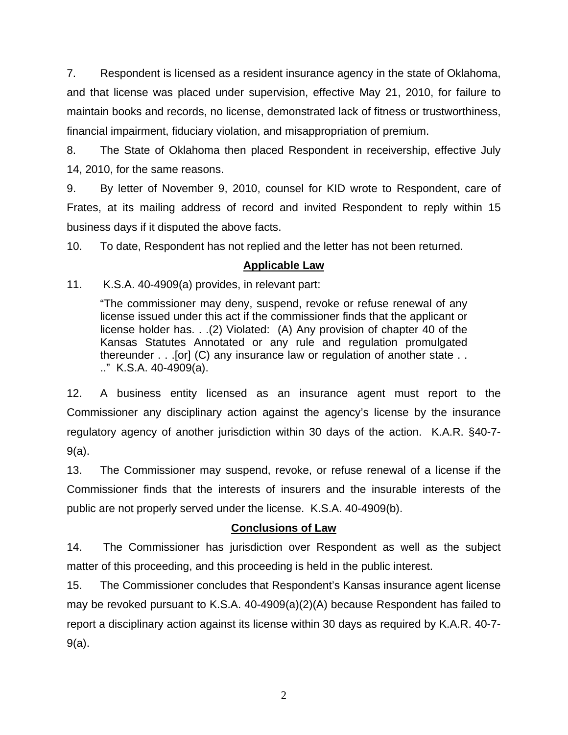7. Respondent is licensed as a resident insurance agency in the state of Oklahoma, and that license was placed under supervision, effective May 21, 2010, for failure to maintain books and records, no license, demonstrated lack of fitness or trustworthiness, financial impairment, fiduciary violation, and misappropriation of premium.

8. The State of Oklahoma then placed Respondent in receivership, effective July 14, 2010, for the same reasons.

9. By letter of November 9, 2010, counsel for KID wrote to Respondent, care of Frates, at its mailing address of record and invited Respondent to reply within 15 business days if it disputed the above facts.

10. To date, Respondent has not replied and the letter has not been returned.

## **Applicable Law**

11. K.S.A. 40-4909(a) provides, in relevant part:

"The commissioner may deny, suspend, revoke or refuse renewal of any license issued under this act if the commissioner finds that the applicant or license holder has. . .(2) Violated: (A) Any provision of chapter 40 of the Kansas Statutes Annotated or any rule and regulation promulgated thereunder . . .[or] (C) any insurance law or regulation of another state . . .." K.S.A. 40-4909(a).

12. A business entity licensed as an insurance agent must report to the Commissioner any disciplinary action against the agency's license by the insurance regulatory agency of another jurisdiction within 30 days of the action. K.A.R. §40-7- 9(a).

13. The Commissioner may suspend, revoke, or refuse renewal of a license if the Commissioner finds that the interests of insurers and the insurable interests of the public are not properly served under the license. K.S.A. 40-4909(b).

#### **Conclusions of Law**

14. The Commissioner has jurisdiction over Respondent as well as the subject matter of this proceeding, and this proceeding is held in the public interest.

15. The Commissioner concludes that Respondent's Kansas insurance agent license may be revoked pursuant to K.S.A. 40-4909(a)(2)(A) because Respondent has failed to report a disciplinary action against its license within 30 days as required by K.A.R. 40-7- 9(a).

2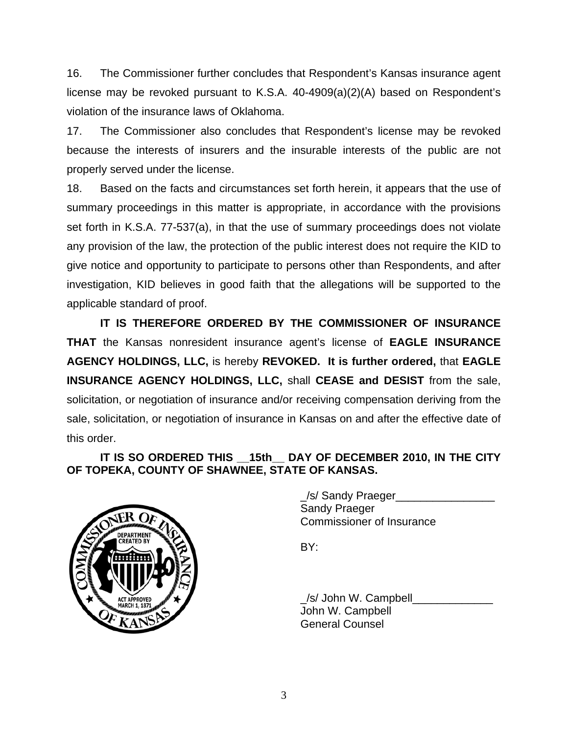16. The Commissioner further concludes that Respondent's Kansas insurance agent license may be revoked pursuant to K.S.A. 40-4909(a)(2)(A) based on Respondent's violation of the insurance laws of Oklahoma.

17. The Commissioner also concludes that Respondent's license may be revoked because the interests of insurers and the insurable interests of the public are not properly served under the license.

18. Based on the facts and circumstances set forth herein, it appears that the use of summary proceedings in this matter is appropriate, in accordance with the provisions set forth in K.S.A. 77-537(a), in that the use of summary proceedings does not violate any provision of the law, the protection of the public interest does not require the KID to give notice and opportunity to participate to persons other than Respondents, and after investigation, KID believes in good faith that the allegations will be supported to the applicable standard of proof.

 **IT IS THEREFORE ORDERED BY THE COMMISSIONER OF INSURANCE THAT** the Kansas nonresident insurance agent's license of **EAGLE INSURANCE AGENCY HOLDINGS, LLC,** is hereby **REVOKED. It is further ordered,** that **EAGLE INSURANCE AGENCY HOLDINGS, LLC,** shall **CEASE and DESIST** from the sale, solicitation, or negotiation of insurance and/or receiving compensation deriving from the sale, solicitation, or negotiation of insurance in Kansas on and after the effective date of this order.

## IT IS SO ORDERED THIS 15th DAY OF DECEMBER 2010, IN THE CITY **OF TOPEKA, COUNTY OF SHAWNEE, STATE OF KANSAS.**



/s/ Sandy Praeger Sandy Praeger Commissioner of Insurance

/s/ John W. Campbell John W. Campbell General Counsel

3